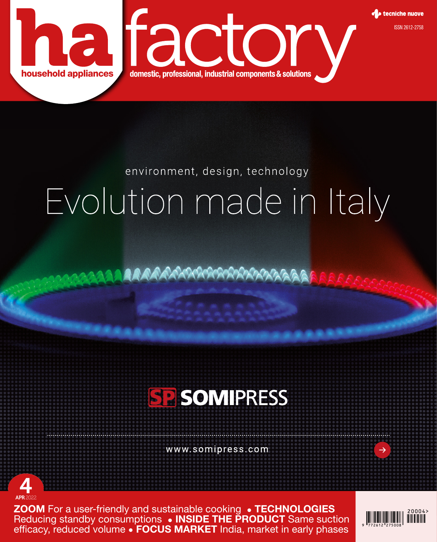

## environment, design, technology Evolution made in Italy

AAAAAAAAAAAAAAAAAAAAA



www.somipress.com



**ZOOM** For a user-friendly and sustainable cooking . TECHNOLOGIES Reducing standby consumptions • INSIDE THE PRODUCT Same suction efficacy, reduced volume • FOCUS MARKET India, market in early phases



 $\rightarrow$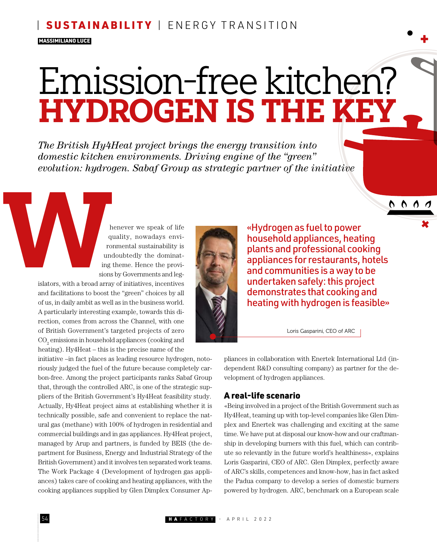#### SUSTAINABILITY | ENERGY TRANSITION

#### MASSIMILIANO LUCE

# Emission-free kitchen? HYDROGEN IS THE KEY

*The British Hy4Heat project brings the energy transition into domestic kitchen environments. Driving engine of the "green" evolution: hydrogen. Sabaf Group as strategic partner of the initiative*

> henever we speak of life quality, nowadays environmental sustainability is undoubtedly the dominating theme. Hence the provisions by Governments and leg-

islators, with a broad array of initiatives, incentives and facilitations to boost the "green" choices by all of us, in daily ambit as well as in the business world. A particularly interesting example, towards this direction, comes from across the Channel, with one of British Government's targeted projects of zero  $\mathrm{CO}_2$  emissions in household appliances (cooking and heating). Hy4Heat – this is the precise name of the

initiative –in fact places as leading resource hydrogen, notoriously judged the fuel of the future because completely carbon-free. Among the project participants ranks Sabaf Group that, through the controlled ARC, is one of the strategic suppliers of the British Government's Hy4Heat feasibility study. Actually, Hy4Heat project aims at establishing whether it is technically possible, safe and convenient to replace the natural gas (methane) with 100% of hydrogen in residential and commercial buildings and in gas appliances. Hy4Heat project, managed by Arup and partners, is funded by BEIS (the department for Business, Energy and Industrial Strategy of the British Government) and it involves ten separated work teams. The Work Package 4 (Development of hydrogen gas appliances) takes care of cooking and heating appliances, with the cooking appliances supplied by Glen Dimplex Consumer Ap-



«Hydrogen as fuel to power household appliances, heating plants and professional cooking appliances for restaurants, hotels and communities is a way to be undertaken safely: this project demonstrates that cooking and heating with hydrogen is feasible»

0000

Loris Gasparini, CEO of ARC

pliances in collaboration with Enertek International Ltd (independent R&D consulting company) as partner for the development of hydrogen appliances.

#### A real-life scenario

«Being involved in a project of the British Government such as Hy4Heat, teaming up with top-level companies like Glen Dimplex and Enertek was challenging and exciting at the same time. We have put at disposal our know-how and our craftmanship in developing burners with this fuel, which can contribute so relevantly in the future world's healthiness», explains Loris Gasparini, CEO of ARC. Glen Dimplex, perfectly aware of ARC's skills, competences and know-how, has in fact asked the Padua company to develop a series of domestic burners powered by hydrogen. ARC, benchmark on a European scale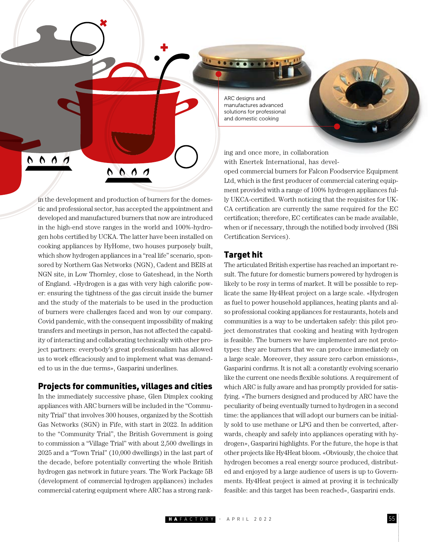

ARC designs and manufactures advanced solutions for professional and domestic cooking

ing and once more, in collaboration with Enertek International, has devel-

oped commercial burners for Falcon Foodservice Equipment Ltd, which is the first producer of commercial catering equipment provided with a range of 100% hydrogen appliances fully UKCA-certified. Worth noticing that the requisites for UK-CA certification are currently the same required for the EC certification; therefore, EC certificates can be made available, when or if necessary, through the notified body involved (BSi Certification Services).

#### Target hit

The articulated British expertise has reached an important result. The future for domestic burners powered by hydrogen is likely to be rosy in terms of market. It will be possible to replicate the same Hy4Heat project on a large scale. «Hydrogen as fuel to power household appliances, heating plants and also professional cooking appliances for restaurants, hotels and communities is a way to be undertaken safely: this pilot project demonstrates that cooking and heating with hydrogen is feasible. The burners we have implemented are not prototypes: they are burners that we can produce immediately on a large scale. Moreover, they assure zero carbon emissions», Gasparini confirms. It is not all: a constantly evolving scenario like the current one needs flexible solutions. A requirement of which ARC is fully aware and has promptly provided for satisfying. «The burners designed and produced by ARC have the peculiarity of being eventually turned to hydrogen in a second time: the appliances that will adopt our burners can be initially sold to use methane or LPG and then be converted, afterwards, cheaply and safely into appliances operating with hydrogen», Gasparini highlights. For the future, the hope is that other projects like Hy4Heat bloom. «Obviously, the choice that hydrogen becomes a real energy source produced, distributed and enjoyed by a large audience of users is up to Governments. Hy4Heat project is aimed at proving it is technically feasible: and this target has been reached», Gasparini ends.

in the development and production of burners for the domestic and professional sector, has accepted the appointment and developed and manufactured burners that now are introduced in the high-end stove ranges in the world and 100%-hydrogen hobs certified by UCKA. The latter have been installed on cooking appliances by HyHome, two houses purposely built, which show hydrogen appliances in a "real life" scenario, sponsored by Northern Gas Networks (NGN), Cadent and BEIS at NGN site, in Low Thornley, close to Gateshead, in the North of England. «Hydrogen is a gas with very high calorific power: ensuring the tightness of the gas circuit inside the burner and the study of the materials to be used in the production of burners were challenges faced and won by our company. Covid pandemic, with the consequent impossibility of making transfers and meetings in person, has not affected the capability of interacting and collaborating technically with other project partners: everybody's great professionalism has allowed us to work efficaciously and to implement what was demanded to us in the due terms», Gasparini underlines.

#### Projects for communities, villages and cities

In the immediately successive phase, Glen Dimplex cooking appliances with ARC burners will be included in the "Community Trial" that involves 300 houses, organized by the Scottish Gas Networks (SGN) in Fife, with start in 2022. In addition to the "Community Trial", the British Government is going to commission a "Village Trial" with about 2,500 dwellings in 2025 and a "Town Trial" (10,000 dwellings) in the last part of the decade, before potentially converting the whole British hydrogen gas network in future years. The Work Package 5B (development of commercial hydrogen appliances) includes commercial catering equipment where ARC has a strong rank-